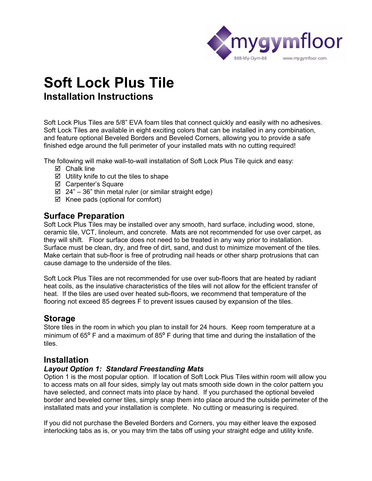

# **Soft Lock Plus Tile Installation Instructions**

Soft Lock Plus Tiles are 5/8" EVA foam tiles that connect quickly and easily with no adhesives. Soft Lock Tiles are available in eight exciting colors that can be installed in any combination, and feature optional Beveled Borders and Beveled Corners, allowing you to provide a safe finished edge around the full perimeter of your installed mats with no cutting required!

The following will make wall-to-wall installation of Soft Lock Plus Tile quick and easy:

- **Ø** Chalk line
- $\boxtimes$  Utility knife to cut the tiles to shape
- Carpenter's Square
- $\boxtimes$  24" 36" thin metal ruler (or similar straight edge)
- $\boxtimes$  Knee pads (optional for comfort)

## **Surface Preparation**

Soft Lock Plus Tiles may be installed over any smooth, hard surface, including wood, stone, ceramic tile, VCT, linoleum, and concrete. Mats are not recommended for use over carpet, as they will shift. Floor surface does not need to be treated in any way prior to installation. Surface must be clean, dry, and free of dirt, sand, and dust to minimize movement of the tiles. Make certain that sub-floor is free of protruding nail heads or other sharp protrusions that can cause damage to the underside of the tiles.

Soft Lock Plus Tiles are not recommended for use over sub-floors that are heated by radiant heat coils, as the insulative characteristics of the tiles will not allow for the efficient transfer of heat. If the tiles are used over heated sub-floors, we recommend that temperature of the flooring not exceed 85 degrees F to prevent issues caused by expansion of the tiles.

# **Storage**

Store tiles in the room in which you plan to install for 24 hours. Keep room temperature at a minimum of 65° F and a maximum of 85° F during that time and during the installation of the tiles.

## **Installation**

#### *Layout Option 1: Standard Freestanding Mats*

Option 1 is the most popular option. If location of Soft Lock Plus Tiles within room will allow you to access mats on all four sides, simply lay out mats smooth side down in the color pattern you have selected, and connect mats into place by hand. If you purchased the optional beveled border and beveled corner tiles, simply snap them into place around the outside perimeter of the installated mats and your installation is complete. No cutting or measuring is required.

If you did not purchase the Beveled Borders and Corners, you may either leave the exposed interlocking tabs as is, or you may trim the tabs off using your straight edge and utility knife.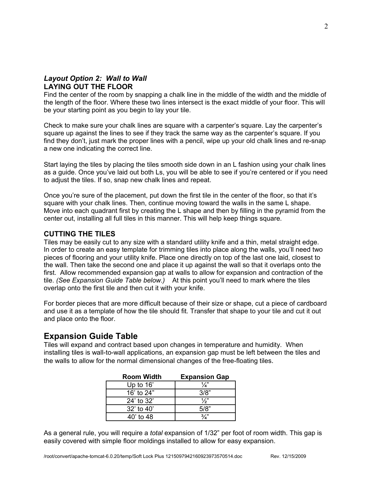## *Layout Option 2: Wall to Wall*  **LAYING OUT THE FLOOR**

Find the center of the room by snapping a chalk line in the middle of the width and the middle of the length of the floor. Where these two lines intersect is the exact middle of your floor. This will be your starting point as you begin to lay your tile.

Check to make sure your chalk lines are square with a carpenter's square. Lay the carpenter's square up against the lines to see if they track the same way as the carpenter's square. If you find they don't, just mark the proper lines with a pencil, wipe up your old chalk lines and re-snap a new one indicating the correct line.

Start laying the tiles by placing the tiles smooth side down in an L fashion using your chalk lines as a guide. Once you've laid out both Ls, you will be able to see if you're centered or if you need to adjust the tiles. If so, snap new chalk lines and repeat.

Once you're sure of the placement, put down the first tile in the center of the floor, so that it's square with your chalk lines. Then, continue moving toward the walls in the same L shape. Move into each quadrant first by creating the L shape and then by filling in the pyramid from the center out, installing all full tiles in this manner. This will help keep things square.

### **CUTTING THE TILES**

Tiles may be easily cut to any size with a standard utility knife and a thin, metal straight edge. In order to create an easy template for trimming tiles into place along the walls, you'll need two pieces of flooring and your utility knife. Place one directly on top of the last one laid, closest to the wall. Then take the second one and place it up against the wall so that it overlaps onto the first. Allow recommended expansion gap at walls to allow for expansion and contraction of the tile. *(See Expansion Guide Table below.)* At this point you'll need to mark where the tiles overlap onto the first tile and then cut it with your knife.

For border pieces that are more difficult because of their size or shape, cut a piece of cardboard and use it as a template of how the tile should fit. Transfer that shape to your tile and cut it out and place onto the floor.

# **Expansion Guide Table**

Tiles will expand and contract based upon changes in temperature and humidity. When installing tiles is wall-to-wall applications, an expansion gap must be left between the tiles and the walls to allow for the normal dimensional changes of the free-floating tiles.

| <b>Room Width</b> | <b>Expansion Gap</b> |
|-------------------|----------------------|
| Up to $16'$       | $\frac{1}{a}$        |
| 16' to 24"        | 3/8"                 |
| 24' to 32'        | $\frac{1}{2}$        |
| $32'$ to 40'      | 5/8"                 |
| 40' to 48         |                      |

As a general rule, you will require a *total* expansion of 1/32" per foot of room width. This gap is easily covered with simple floor moldings installed to allow for easy expansion.